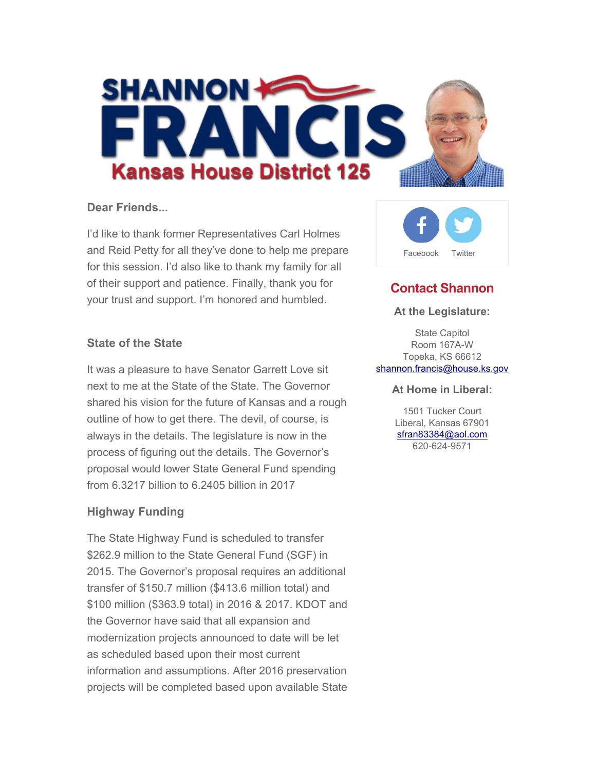

### **Dear Friends...**

I'd like to thank former Representatives Carl Holmes and Reid Petty for all they've done to help me prepare for this session. I'd also like to thank my family for all of their support and patience. Finally, thank you for your trust and support. I'm honored and humbled.



It was a pleasure to have Senator Garrett Love sit next to me at the State of the State. The Governor shared his vision for the future of Kansas and a rough outline of how to get there. The devil, of course, is always in the details. The legislature is now in the process of figuring out the details. The Governor's proposal would lower State General Fund spending from 6.3217 billion to 6.2405 billion in 2017

## **Highway Funding**

The State Highway Fund is scheduled to transfer \$262.9 million to the State General Fund (SGF) in 2015. The Governor's proposal requires an additional transfer of \$150.7 million (\$413.6 million total) and \$100 million (\$363.9 total) in 2016 & 2017. KDOT and the Governor have said that all expansion and modernization projects announced to date will be let as scheduled based upon their most current information and assumptions. After 2016 preservation projects will be completed based upon available State



# **Contact Shannon**

#### **At the Legislature:**

State Capitol Room 167A-W Topeka, KS 66612 shannon.francis@house.ks.gov

#### **At Home in Liberal:**

1501 Tucker Court Liberal, Kansas 67901 sfran83384@aol.com 620-624-9571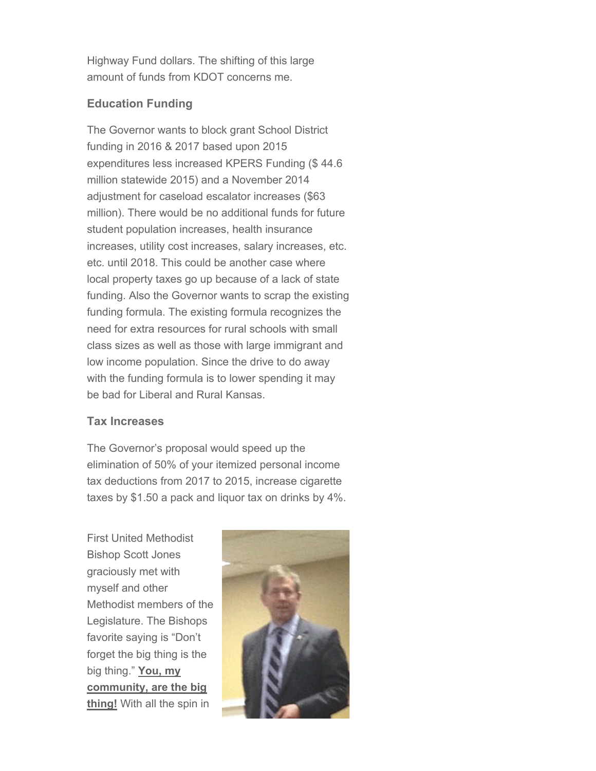Highway Fund dollars. The shifting of this large amount of funds from KDOT concerns me.

# **Education Funding**

The Governor wants to block grant School District funding in 2016 & 2017 based upon 2015 expenditures less increased KPERS Funding (\$ 44.6 million statewide 2015) and a November 2014 adjustment for caseload escalator increases (\$63 million). There would be no additional funds for future student population increases, health insurance increases, utility cost increases, salary increases, etc. etc. until 2018. This could be another case where local property taxes go up because of a lack of state funding. Also the Governor wants to scrap the existing funding formula. The existing formula recognizes the need for extra resources for rural schools with small class sizes as well as those with large immigrant and low income population. Since the drive to do away with the funding formula is to lower spending it may be bad for Liberal and Rural Kansas.

## **Tax Increases**

The Governor's proposal would speed up the elimination of 50% of your itemized personal income tax deductions from 2017 to 2015, increase cigarette taxes by \$1.50 a pack and liquor tax on drinks by 4%.

First United Methodist Bishop Scott Jones graciously met with myself and other Methodist members of the Legislature. The Bishops favorite saying is "Don't forget the big thing is the big thing." **You, my community, are the big thing!** With all the spin in